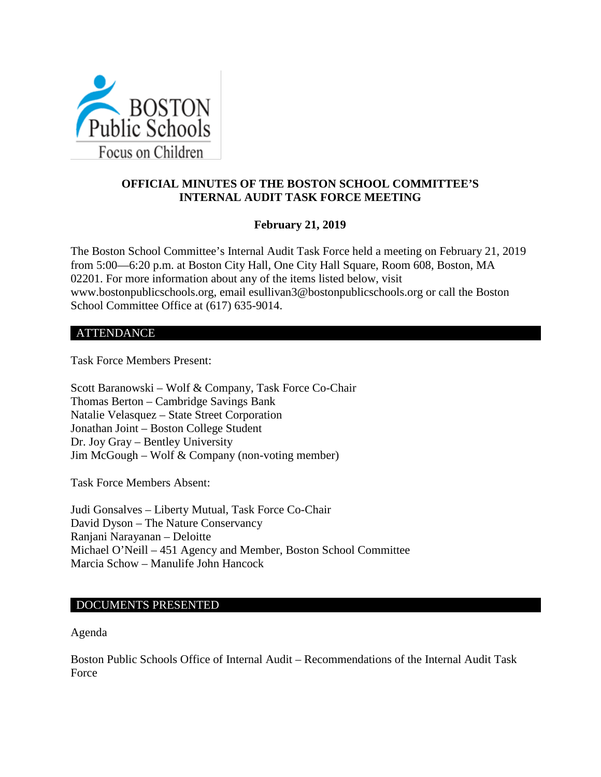

# **OFFICIAL MINUTES OF THE BOSTON SCHOOL COMMITTEE'S INTERNAL AUDIT TASK FORCE MEETING**

## **February 21, 2019**

The Boston School Committee's Internal Audit Task Force held a meeting on February 21, 2019 from 5:00—6:20 p.m. at Boston City Hall, One City Hall Square, Room 608, Boston, MA 02201. For more information about any of the items listed below, visit www.bostonpublicschools.org, email esullivan3@bostonpublicschools.org or call the Boston School Committee Office at (617) 635-9014.

#### ATTENDANCE

Task Force Members Present:

Scott Baranowski – Wolf & Company, Task Force Co-Chair Thomas Berton – Cambridge Savings Bank Natalie Velasquez – State Street Corporation Jonathan Joint – Boston College Student Dr. Joy Gray – Bentley University Jim McGough – Wolf & Company (non-voting member)

Task Force Members Absent:

Judi Gonsalves – Liberty Mutual, Task Force Co-Chair David Dyson – The Nature Conservancy Ranjani Narayanan – Deloitte Michael O'Neill – 451 Agency and Member, Boston School Committee Marcia Schow – Manulife John Hancock

### DOCUMENTS PRESENTED

Agenda

Boston Public Schools Office of Internal Audit – Recommendations of the Internal Audit Task Force